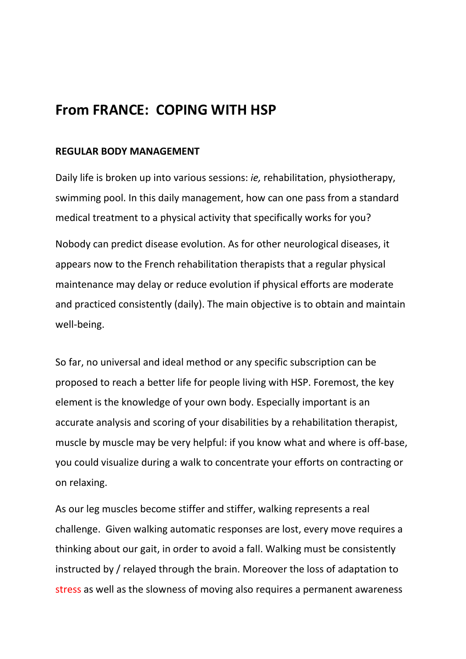# **From FRANCE: COPING WITH HSP**

## **REGULAR BODY MANAGEMENT**

Daily life is broken up into various sessions: *ie,* rehabilitation, physiotherapy, swimming pool. In this daily management, how can one pass from a standard medical treatment to a physical activity that specifically works for you?

Nobody can predict disease evolution. As for other neurological diseases, it appears now to the French rehabilitation therapists that a regular physical maintenance may delay or reduce evolution if physical efforts are moderate and practiced consistently (daily). The main objective is to obtain and maintain well-being.

So far, no universal and ideal method or any specific subscription can be proposed to reach a better life for people living with HSP. Foremost, the key element is the knowledge of your own body. Especially important is an accurate analysis and scoring of your disabilities by a rehabilitation therapist, muscle by muscle may be very helpful: if you know what and where is off-base, you could visualize during a walk to concentrate your efforts on contracting or on relaxing.

As our leg muscles become stiffer and stiffer, walking represents a real challenge. Given walking automatic responses are lost, every move requires a thinking about our gait, in order to avoid a fall. Walking must be consistently instructed by / relayed through the brain. Moreover the loss of adaptation to stress as well as the slowness of moving also requires a permanent awareness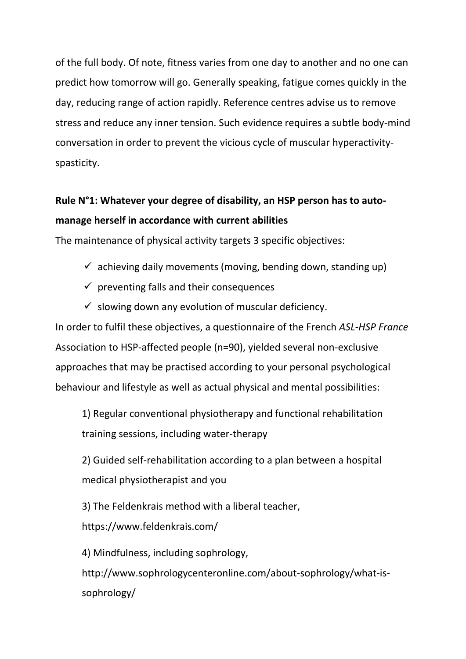of the full body. Of note, fitness varies from one day to another and no one can predict how tomorrow will go. Generally speaking, fatigue comes quickly in the day, reducing range of action rapidly. Reference centres advise us to remove stress and reduce any inner tension. Such evidence requires a subtle body-mind conversation in order to prevent the vicious cycle of muscular hyperactivityspasticity.

# **Rule N°1: Whatever your degree of disability, an HSP person has to automanage herself in accordance with current abilities**

The maintenance of physical activity targets 3 specific objectives:

- $\checkmark$  achieving daily movements (moving, bending down, standing up)
- $\checkmark$  preventing falls and their consequences
- $\checkmark$  slowing down any evolution of muscular deficiency.

In order to fulfil these objectives, a questionnaire of the French *ASL-HSP France* Association to HSP-affected people (n=90), yielded several non-exclusive approaches that may be practised according to your personal psychological behaviour and lifestyle as well as actual physical and mental possibilities:

1) Regular conventional physiotherapy and functional rehabilitation training sessions, including water-therapy

2) Guided self-rehabilitation according to a plan between a hospital medical physiotherapist and you

3) The Feldenkrais method with a liberal teacher, https://www.feldenkrais.com/

4) Mindfulness, including sophrology, http://www.sophrologycenteronline.com/about-sophrology/what-issophrology/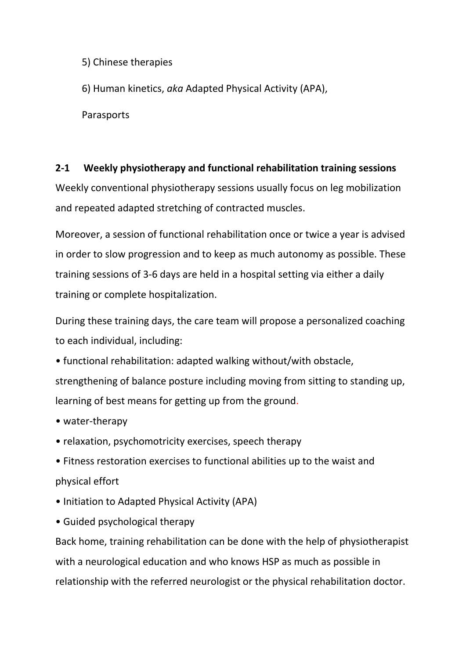5) Chinese therapies

6) Human kinetics, *aka* Adapted Physical Activity (APA),

Parasports

# **2-1 Weekly physiotherapy and functional rehabilitation training sessions**

Weekly conventional physiotherapy sessions usually focus on leg mobilization and repeated adapted stretching of contracted muscles.

Moreover, a session of functional rehabilitation once or twice a year is advised in order to slow progression and to keep as much autonomy as possible. These training sessions of 3-6 days are held in a hospital setting via either a daily training or complete hospitalization.

During these training days, the care team will propose a personalized coaching to each individual, including:

- functional rehabilitation: adapted walking without/with obstacle, strengthening of balance posture including moving from sitting to standing up, learning of best means for getting up from the ground.
- water-therapy
- relaxation, psychomotricity exercises, speech therapy
- Fitness restoration exercises to functional abilities up to the waist and physical effort
- Initiation to Adapted Physical Activity (APA)
- Guided psychological therapy

Back home, training rehabilitation can be done with the help of physiotherapist with a neurological education and who knows HSP as much as possible in relationship with the referred neurologist or the physical rehabilitation doctor.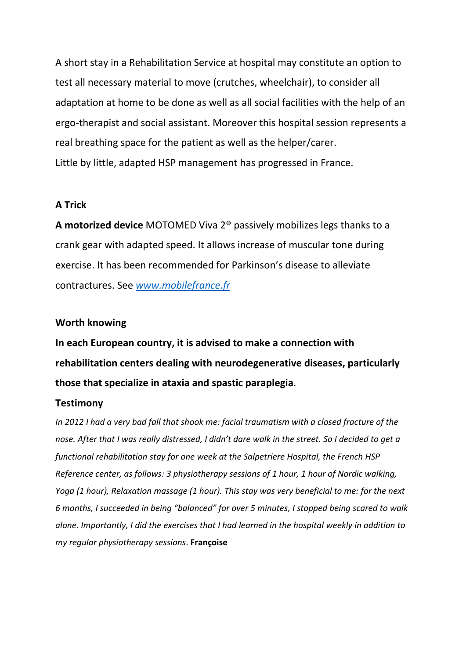A short stay in a Rehabilitation Service at hospital may constitute an option to test all necessary material to move (crutches, wheelchair), to consider all adaptation at home to be done as well as all social facilities with the help of an ergo-therapist and social assistant. Moreover this hospital session represents a real breathing space for the patient as well as the helper/carer. Little by little, adapted HSP management has progressed in France.

## **A Trick**

**A motorized device** MOTOMED Viva 2® passively mobilizes legs thanks to a crank gear with adapted speed. It allows increase of muscular tone during exercise. It has been recommended for Parkinson's disease to alleviate contractures. See *[www.mobilefrance.fr](http://www.mobilefrance.fr/)*

### **Worth knowing**

**In each European country, it is advised to make a connection with rehabilitation centers dealing with neurodegenerative diseases, particularly those that specialize in ataxia and spastic paraplegia**.

### **Testimony**

*In 2012 I had a very bad fall that shook me: facial traumatism with a closed fracture of the nose. After that I was really distressed, I didn't dare walk in the street. So I decided to get a functional rehabilitation stay for one week at the Salpetriere Hospital, the French HSP Reference center, as follows: 3 physiotherapy sessions of 1 hour, 1 hour of Nordic walking, Yoga (1 hour), Relaxation massage (1 hour). This stay was very beneficial to me: for the next 6 months, I succeeded in being "balanced" for over 5 minutes, I stopped being scared to walk alone. Importantly, I did the exercises that I had learned in the hospital weekly in addition to my regular physiotherapy sessions*. **Françoise**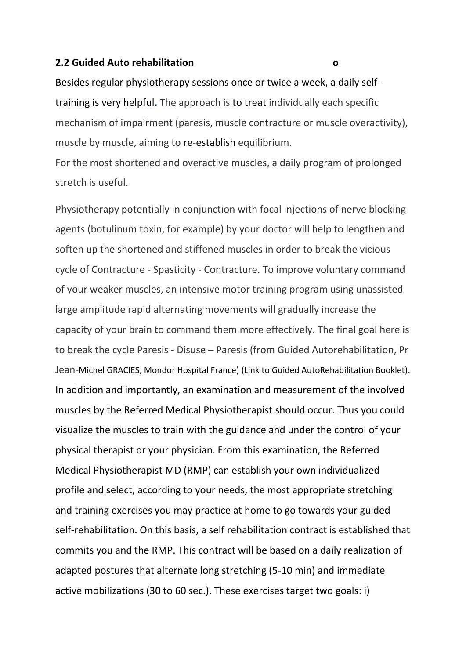#### **2.2 Guided Auto rehabilitation o**

Besides regular physiotherapy sessions once or twice a week, a daily selftraining is very helpful**.** The approach is to treat individually each specific mechanism of impairment (paresis, muscle contracture or muscle overactivity), muscle by muscle, aiming to re-establish equilibrium.

For the most shortened and overactive muscles, a daily program of prolonged stretch is useful.

Physiotherapy potentially in conjunction with focal injections of nerve blocking agents (botulinum toxin, for example) by your doctor will help to lengthen and soften up the shortened and stiffened muscles in order to break the vicious cycle of Contracture - Spasticity - Contracture. To improve voluntary command of your weaker muscles, an intensive motor training program using unassisted large amplitude rapid alternating movements will gradually increase the capacity of your brain to command them more effectively. The final goal here is to break the cycle Paresis - Disuse – Paresis (from Guided Autorehabilitation, Pr Jean-Michel GRACIES, Mondor Hospital France) (Link to Guided AutoRehabilitation Booklet). In addition and importantly, an examination and measurement of the involved muscles by the Referred Medical Physiotherapist should occur. Thus you could visualize the muscles to train with the guidance and under the control of your physical therapist or your physician. From this examination, the Referred Medical Physiotherapist MD (RMP) can establish your own individualized profile and select, according to your needs, the most appropriate stretching and training exercises you may practice at home to go towards your guided self-rehabilitation. On this basis, a self rehabilitation contract is established that commits you and the RMP. This contract will be based on a daily realization of adapted postures that alternate long stretching (5-10 min) and immediate active mobilizations (30 to 60 sec.). These exercises target two goals: i)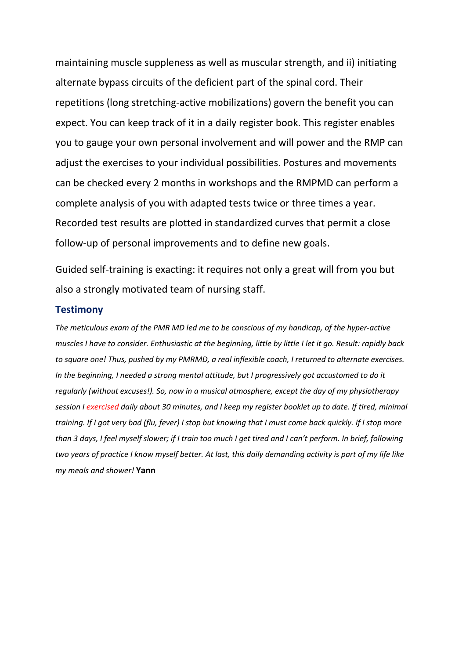maintaining muscle suppleness as well as muscular strength, and ii) initiating alternate bypass circuits of the deficient part of the spinal cord. Their repetitions (long stretching-active mobilizations) govern the benefit you can expect. You can keep track of it in a daily register book. This register enables you to gauge your own personal involvement and will power and the RMP can adjust the exercises to your individual possibilities. Postures and movements can be checked every 2 months in workshops and the RMPMD can perform a complete analysis of you with adapted tests twice or three times a year. Recorded test results are plotted in standardized curves that permit a close follow-up of personal improvements and to define new goals.

Guided self-training is exacting: it requires not only a great will from you but also a strongly motivated team of nursing staff.

#### **Testimony**

*The meticulous exam of the PMR MD led me to be conscious of my handicap, of the hyper-active muscles I have to consider. Enthusiastic at the beginning, little by little I let it go. Result: rapidly back to square one! Thus, pushed by my PMRMD, a real inflexible coach, I returned to alternate exercises. In the beginning, I needed a strong mental attitude, but I progressively got accustomed to do it regularly (without excuses!). So, now in a musical atmosphere, except the day of my physiotherapy session I exercised daily about 30 minutes, and I keep my register booklet up to date. If tired, minimal training. If I got very bad (flu, fever) I stop but knowing that I must come back quickly. If I stop more than 3 days, I feel myself slower; if I train too much I get tired and I can't perform. In brief, following two years of practice I know myself better. At last, this daily demanding activity is part of my life like my meals and shower!* **Yann**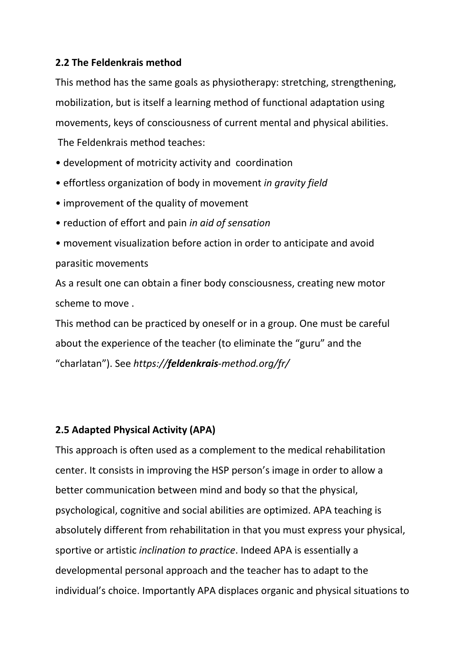# **2.2 The Feldenkrais method**

This method has the same goals as physiotherapy: stretching, strengthening, mobilization, but is itself a learning method of functional adaptation using movements, keys of consciousness of current mental and physical abilities.

The Feldenkrais method teaches:

- development of motricity activity and coordination
- effortless organization of body in movement *in gravity field*
- improvement of the quality of movement
- reduction of effort and pain *in aid of sensation*
- movement visualization before action in order to anticipate and avoid parasitic movements

As a result one can obtain a finer body consciousness, creating new motor scheme to move .

This method can be practiced by oneself or in a group. One must be careful about the experience of the teacher (to eliminate the "guru" and the "charlatan"). See *https://feldenkrais-method.org/fr/*

# **2.5 Adapted Physical Activity (APA)**

This approach is often used as a complement to the medical rehabilitation center. It consists in improving the HSP person's image in order to allow a better communication between mind and body so that the physical, psychological, cognitive and social abilities are optimized. APA teaching is absolutely different from rehabilitation in that you must express your physical, sportive or artistic *inclination to practice*. Indeed APA is essentially a developmental personal approach and the teacher has to adapt to the individual's choice. Importantly APA displaces organic and physical situations to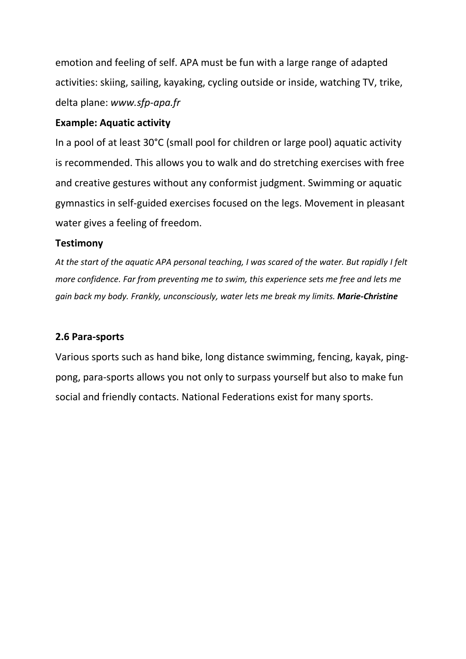emotion and feeling of self. APA must be fun with a large range of adapted activities: skiing, sailing, kayaking, cycling outside or inside, watching TV, trike, delta plane: *www.sfp-apa.fr*

# **Example: Aquatic activity**

In a pool of at least 30°C (small pool for children or large pool) aquatic activity is recommended. This allows you to walk and do stretching exercises with free and creative gestures without any conformist judgment. Swimming or aquatic gymnastics in self-guided exercises focused on the legs. Movement in pleasant water gives a feeling of freedom.

# **Testimony**

*At the start of the aquatic APA personal teaching, I was scared of the water. But rapidly I felt more confidence. Far from preventing me to swim, this experience sets me free and lets me gain back my body. Frankly, unconsciously, water lets me break my limits. Marie-Christine*

# **2.6 Para-sports**

Various sports such as hand bike, long distance swimming, fencing, kayak, pingpong, para-sports allows you not only to surpass yourself but also to make fun social and friendly contacts. National Federations exist for many sports.